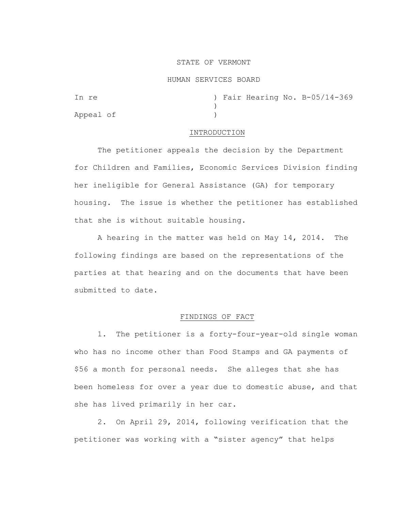### STATE OF VERMONT

#### HUMAN SERVICES BOARD

| In re     |  |  | ) Fair Hearing No. B-05/14-369 |
|-----------|--|--|--------------------------------|
|           |  |  |                                |
| Appeal of |  |  |                                |

### INTRODUCTION

The petitioner appeals the decision by the Department for Children and Families, Economic Services Division finding her ineligible for General Assistance (GA) for temporary housing. The issue is whether the petitioner has established that she is without suitable housing.

A hearing in the matter was held on May 14, 2014. The following findings are based on the representations of the parties at that hearing and on the documents that have been submitted to date.

## FINDINGS OF FACT

1. The petitioner is a forty-four-year-old single woman who has no income other than Food Stamps and GA payments of \$56 a month for personal needs. She alleges that she has been homeless for over a year due to domestic abuse, and that she has lived primarily in her car.

2. On April 29, 2014, following verification that the petitioner was working with a "sister agency" that helps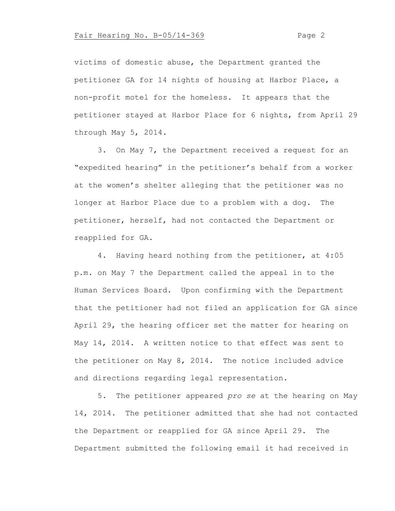# Fair Hearing No. B-05/14-369 Page 2

victims of domestic abuse, the Department granted the petitioner GA for 14 nights of housing at Harbor Place, a non-profit motel for the homeless. It appears that the petitioner stayed at Harbor Place for 6 nights, from April 29 through May 5, 2014.

3. On May 7, the Department received a request for an "expedited hearing" in the petitioner's behalf from a worker at the women's shelter alleging that the petitioner was no longer at Harbor Place due to a problem with a dog. The petitioner, herself, had not contacted the Department or reapplied for GA.

4. Having heard nothing from the petitioner, at 4:05 p.m. on May 7 the Department called the appeal in to the Human Services Board. Upon confirming with the Department that the petitioner had not filed an application for GA since April 29, the hearing officer set the matter for hearing on May 14, 2014. A written notice to that effect was sent to the petitioner on May 8, 2014. The notice included advice and directions regarding legal representation.

5. The petitioner appeared *pro se* at the hearing on May 14, 2014. The petitioner admitted that she had not contacted the Department or reapplied for GA since April 29. The Department submitted the following email it had received in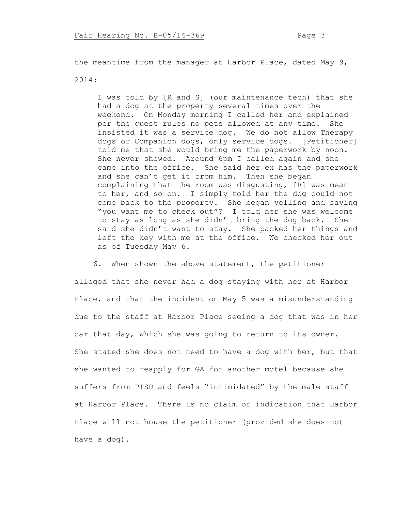the meantime from the manager at Harbor Place, dated May 9, 2014:

I was told by [R and S] (our maintenance tech) that she had a dog at the property several times over the weekend. On Monday morning I called her and explained per the guest rules no pets allowed at any time. She insisted it was a service dog. We do not allow Therapy dogs or Companion dogs, only service dogs. [Petitioner] told me that she would bring me the paperwork by noon. She never showed. Around 6pm I called again and she came into the office. She said her ex has the paperwork and she can't get it from him. Then she began complaining that the room was disgusting, [R] was mean to her, and so on. I simply told her the dog could not come back to the property. She began yelling and saying "you want me to check out"? I told her she was welcome to stay as long as she didn't bring the dog back. She said she didn't want to stay. She packed her things and left the key with me at the office. We checked her out as of Tuesday May 6.

 6. When shown the above statement, the petitioner alleged that she never had a dog staying with her at Harbor Place, and that the incident on May 5 was a misunderstanding due to the staff at Harbor Place seeing a dog that was in her car that day, which she was going to return to its owner. She stated she does not need to have a dog with her, but that she wanted to reapply for GA for another motel because she suffers from PTSD and feels "intimidated" by the male staff at Harbor Place. There is no claim or indication that Harbor Place will not house the petitioner (provided she does not have a dog).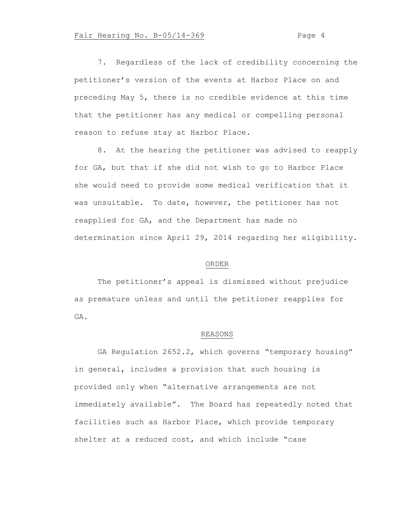## Fair Hearing No. B-05/14-369 Page 4

7. Regardless of the lack of credibility concerning the petitioner's version of the events at Harbor Place on and preceding May 5, there is no credible evidence at this time that the petitioner has any medical or compelling personal reason to refuse stay at Harbor Place.

8. At the hearing the petitioner was advised to reapply for GA, but that if she did not wish to go to Harbor Place she would need to provide some medical verification that it was unsuitable. To date, however, the petitioner has not reapplied for GA, and the Department has made no determination since April 29, 2014 regarding her eligibility.

### ORDER

The petitioner's appeal is dismissed without prejudice as premature unless and until the petitioner reapplies for GA.

## REASONS

GA Regulation 2652.2, which governs "temporary housing" in general, includes a provision that such housing is provided only when "alternative arrangements are not immediately available". The Board has repeatedly noted that facilities such as Harbor Place, which provide temporary shelter at a reduced cost, and which include "case